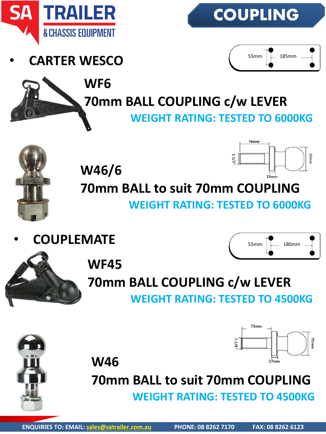

• **CARTER WESCO**



 $76mm$ 





**70mm BALL COUPLING c/w LEVER WEIGHT RATING: TESTED TO 6000KG**



70mm **W46/6 70mm BALL to suit 70mm COUPLING WEIGHT RATING: TESTED TO 6000KG**

• **COUPLEMATE**





 $73<sub>mn</sub>$ 



**WF45**

#### **70mm BALL COUPLING c/w LEVER WEIGHT RATING: TESTED TO 4500KG**



**W46**

# **70mm BALL to suit 70mm COUPLING**

**WEIGHT RATING: TESTED TO 4500KG**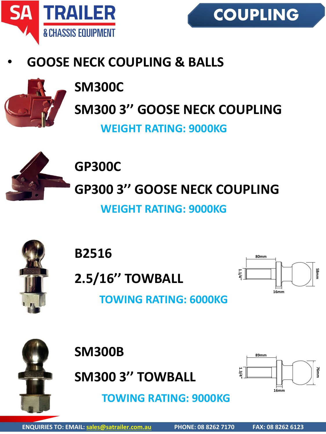



#### • **GOOSE NECK COUPLING & BALLS**



# **SM300C SM300 3'' GOOSE NECK COUPLING**

**WEIGHT RATING: 9000KG**



**GP300C GP300 3'' GOOSE NECK COUPLING**

**WEIGHT RATING: 9000KG**



**B2516**

**2.5/16'' TOWBALL**



**TOWING RATING: 6000KG**



**SM300B SM300 3'' TOWBALL**

**TOWING RATING: 9000KG**

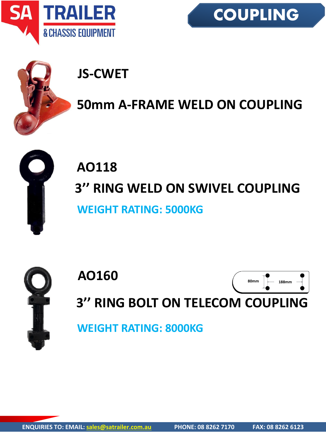





### **JS-CWET**

#### **50mm A-FRAME WELD ON COUPLING**



### **AO118 3'' RING WELD ON SWIVEL COUPLING WEIGHT RATING: 5000KG**



**3'' RING BOLT ON TELECOM COUPLING**

**WEIGHT RATING: 8000KG**

**AO160**

**80mm 188mm**